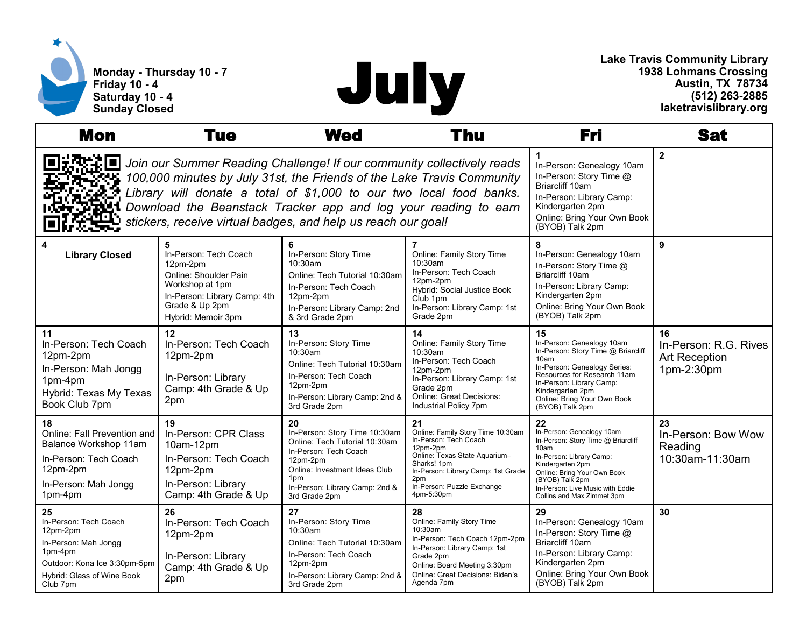



**Lake Travis Community Library 1938 Lohmans Crossing Austin, TX 78734 (512) 263-2885 laketravislibrary.org**

| <b>Mon</b>                                                                                                                                                                                                                                                                                                                                                  | Tue                                                                                                                                                        | <b>Wed</b>                                                                                                                                                                                           | Thu                                                                                                                                                                                                                   | Fri                                                                                                                                                                                                                                               | Sat                                                               |
|-------------------------------------------------------------------------------------------------------------------------------------------------------------------------------------------------------------------------------------------------------------------------------------------------------------------------------------------------------------|------------------------------------------------------------------------------------------------------------------------------------------------------------|------------------------------------------------------------------------------------------------------------------------------------------------------------------------------------------------------|-----------------------------------------------------------------------------------------------------------------------------------------------------------------------------------------------------------------------|---------------------------------------------------------------------------------------------------------------------------------------------------------------------------------------------------------------------------------------------------|-------------------------------------------------------------------|
| Join our Summer Reading Challenge! If our community collectively reads<br>100,000 minutes by July 31st, the Friends of the Lake Travis Community<br>Library will donate a total of \$1,000 to our two local food banks.<br>Download the Beanstack Tracker app and log your reading to earn<br>stickers, receive virtual badges, and help us reach our goal! |                                                                                                                                                            |                                                                                                                                                                                                      |                                                                                                                                                                                                                       | In-Person: Genealogy 10am<br>In-Person: Story Time @<br>Briarcliff 10am<br>In-Person: Library Camp:<br>Kindergarten 2pm<br>Online: Bring Your Own Book<br>(BYOB) Talk 2pm                                                                         | $\mathbf{2}$                                                      |
| 4<br><b>Library Closed</b>                                                                                                                                                                                                                                                                                                                                  | 5<br>In-Person: Tech Coach<br>12pm-2pm<br>Online: Shoulder Pain<br>Workshop at 1pm<br>In-Person: Library Camp: 4th<br>Grade & Up 2pm<br>Hybrid: Memoir 3pm | 6<br>In-Person: Story Time<br>$10:30$ am<br>Online: Tech Tutorial 10:30am<br>In-Person: Tech Coach<br>12pm-2pm<br>In-Person: Library Camp: 2nd<br>& 3rd Grade 2pm                                    | Online: Family Story Time<br>10:30am<br>In-Person: Tech Coach<br>12pm-2pm<br>Hybrid: Social Justice Book<br>Club 1pm<br>In-Person: Library Camp: 1st<br>Grade 2pm                                                     | 8<br>In-Person: Genealogy 10am<br>In-Person: Story Time @<br>Briarcliff 10am<br>In-Person: Library Camp:<br>Kindergarten 2pm<br>Online: Bring Your Own Book<br>(BYOB) Talk 2pm                                                                    | 9                                                                 |
| 11<br>In-Person: Tech Coach<br>12pm-2pm<br>In-Person: Mah Jongg<br>1pm-4pm<br>Hybrid: Texas My Texas<br>Book Club 7pm                                                                                                                                                                                                                                       | 12<br>In-Person: Tech Coach<br>12pm-2pm<br>In-Person: Library<br>Camp: 4th Grade & Up<br>2pm                                                               | 13<br>In-Person: Story Time<br>10:30am<br>Online: Tech Tutorial 10:30am<br>In-Person: Tech Coach<br>12pm-2pm<br>In-Person: Library Camp: 2nd &<br>3rd Grade 2pm                                      | 14<br>Online: Family Story Time<br>10:30am<br>In-Person: Tech Coach<br>12pm-2pm<br>In-Person: Library Camp: 1st<br>Grade 2pm<br>Online: Great Decisions:<br>Industrial Policy 7pm                                     | 15<br>In-Person: Genealogy 10am<br>In-Person: Story Time @ Briarcliff<br>10am<br>In-Person: Genealogy Series:<br>Resources for Research 11am<br>In-Person: Library Camp:<br>Kindergarten 2pm<br>Online: Bring Your Own Book<br>(BYOB) Talk 2pm    | 16<br>In-Person: R.G. Rives<br><b>Art Reception</b><br>1pm-2:30pm |
| 18<br>Online: Fall Prevention and<br>Balance Workshop 11am<br>In-Person: Tech Coach<br>12pm-2pm<br>In-Person: Mah Jongg<br>1pm-4pm                                                                                                                                                                                                                          | 19<br>In-Person: CPR Class<br>10am-12pm<br>In-Person: Tech Coach<br>12pm-2pm<br>In-Person: Library<br>Camp: 4th Grade & Up                                 | 20<br>In-Person: Story Time 10:30am<br>Online: Tech Tutorial 10:30am<br>In-Person: Tech Coach<br>12pm-2pm<br>Online: Investment Ideas Club<br>1pm<br>In-Person: Library Camp: 2nd &<br>3rd Grade 2pm | 21<br>Online: Family Story Time 10:30am<br>In-Person: Tech Coach<br>12pm-2pm<br>Online: Texas State Aquarium-<br>Sharks! 1pm<br>In-Person: Library Camp: 1st Grade<br>2pm<br>In-Person: Puzzle Exchange<br>4pm-5:30pm | 22<br>In-Person: Genealogy 10am<br>In-Person: Story Time @ Briarcliff<br>10am<br>In-Person: Library Camp:<br>Kindergarten 2pm<br>Online: Bring Your Own Book<br>(BYOB) Talk 2pm<br>In-Person: Live Music with Eddie<br>Collins and Max Zimmet 3pm | 23<br>In-Person: Bow Wow<br>Reading<br>10:30am-11:30am            |
| 25<br>In-Person: Tech Coach<br>12pm-2pm<br>In-Person: Mah Jongg<br>1pm-4pm<br>Outdoor: Kona Ice 3:30pm-5pm<br>Hybrid: Glass of Wine Book<br>Club 7pm                                                                                                                                                                                                        | 26<br>In-Person: Tech Coach<br>12pm-2pm<br>In-Person: Library<br>Camp: 4th Grade & Up<br>2pm                                                               | 27<br>In-Person: Story Time<br>10:30am<br>Online: Tech Tutorial 10:30am<br>In-Person: Tech Coach<br>12pm-2pm<br>In-Person: Library Camp: 2nd &<br>3rd Grade 2pm                                      | 28<br>Online: Family Story Time<br>10:30am<br>In-Person: Tech Coach 12pm-2pm<br>In-Person: Library Camp: 1st<br>Grade 2pm<br>Online: Board Meeting 3:30pm<br>Online: Great Decisions: Biden's<br>Agenda 7pm           | 29<br>In-Person: Genealogy 10am<br>In-Person: Story Time @<br>Briarcliff 10am<br>In-Person: Library Camp:<br>Kindergarten 2pm<br>Online: Bring Your Own Book<br>(BYOB) Talk 2pm                                                                   | 30                                                                |